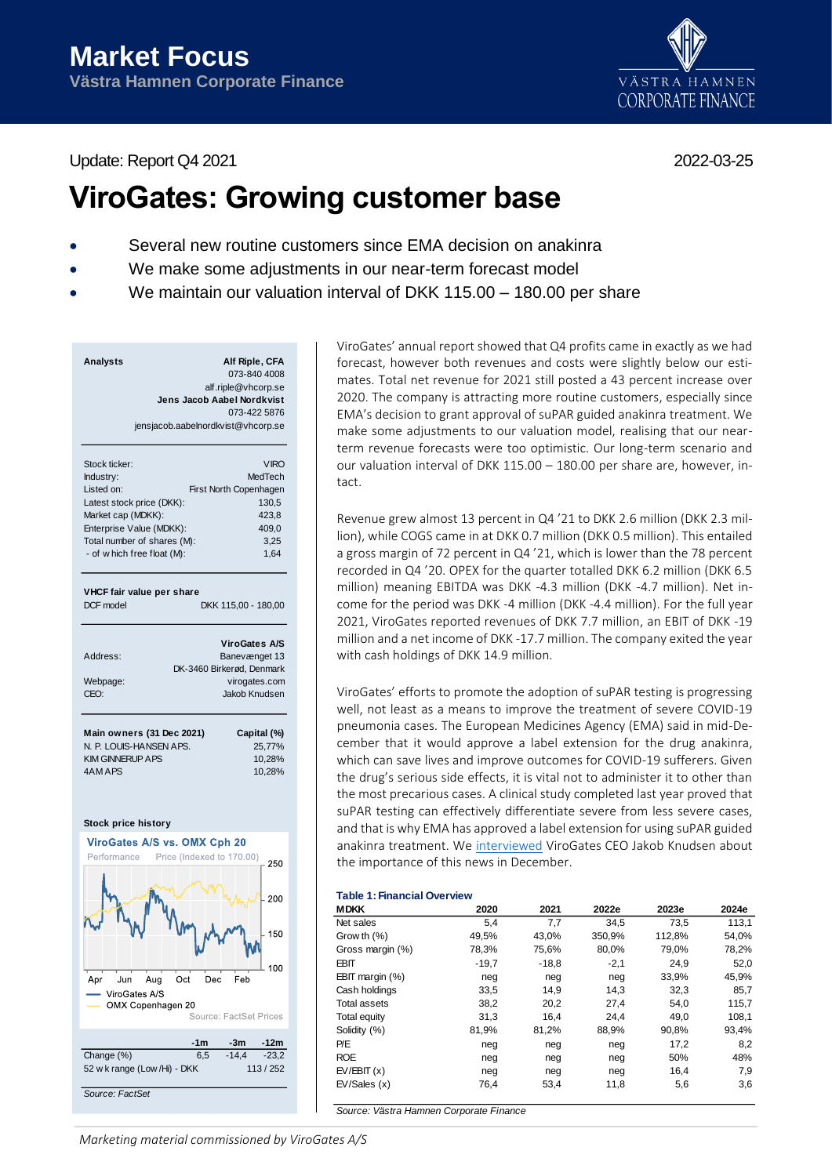Update: Report Q4 2021 2022-03-25

# VÄSTRA HAMNEN **CORPORATE FINANCE**

# **ViroGates: Growing customer base**

- Several new routine customers since EMA decision on anakinra
- We make some adjustments in our near-term forecast model
- We maintain our valuation interval of DKK 115.00 180.00 per share

| Analysts | Alf Riple, CFA                     |
|----------|------------------------------------|
|          | 073-840 4008                       |
|          | alf.riple@vhcorp.se                |
|          | Jens Jacob Aabel Nordkvist         |
|          | 073-422 5876                       |
|          | jensjacob.aabelnordkvist@vhcorp.se |
|          |                                    |

| Stock ticker:               | <b>VIRO</b>            |
|-----------------------------|------------------------|
| Industry:                   | MedTech                |
| I isted on:                 | First North Copenhagen |
| Latest stock price (DKK):   | 130,5                  |
| Market cap (MDKK):          | 423.8                  |
| Enterprise Value (MDKK):    | 409.0                  |
| Total number of shares (M): | 3.25                   |
| - of w hich free float (M): | 1.64                   |
|                             |                        |

#### **VHCF fair value per share**

DCF model DKK 115,00 - 180,00

|          | <b>ViroGates A/S</b>      |
|----------|---------------------------|
| Address: | Banevænget 13             |
|          | DK-3460 Birkerød, Denmark |
| Webpage: | virogates.com             |
| CEO:     | Jakob Knudsen             |
|          |                           |

| Main owners (31 Dec 2021) | Capital (%) |
|---------------------------|-------------|
| N. P. LOUIS-HANSEN APS.   | 25.77%      |
| <b>KIM GINNERUP A PS</b>  | 10.28%      |
| 4AM APS                   | 10.28%      |



ViroGates' annual report showed that Q4 profits came in exactly as we had forecast, however both revenues and costs were slightly below our estimates. Total net revenue for 2021 still posted a 43 percent increase over 2020. The company is attracting more routine customers, especially since EMA's decision to grant approval of suPAR guided anakinra treatment. We make some adjustments to our valuation model, realising that our nearterm revenue forecasts were too optimistic. Our long-term scenario and our valuation interval of DKK 115.00 – 180.00 per share are, however, intact.

Revenue grew almost 13 percent in Q4 '21 to DKK 2.6 million (DKK 2.3 million), while COGS came in at DKK 0.7 million (DKK 0.5 million). This entailed a gross margin of 72 percent in Q4 '21, which is lower than the 78 percent recorded in Q4 '20. OPEX for the quarter totalled DKK 6.2 million (DKK 6.5 million) meaning EBITDA was DKK -4.3 million (DKK -4.7 million). Net income for the period was DKK -4 million (DKK -4.4 million). For the full year 2021, ViroGates reported revenues of DKK 7.7 million, an EBIT of DKK -19 million and a net income of DKK -17.7 million. The company exited the year with cash holdings of DKK 14.9 million.

ViroGates' efforts to promote the adoption of suPAR testing is progressing well, not least as a means to improve the treatment of severe COVID-19 pneumonia cases. The European Medicines Agency (EMA) said in mid-December that it would approve a label extension for the drug anakinra, which can save lives and improve outcomes for COVID-19 sufferers. Given the drug's serious side effects, it is vital not to administer it to other than the most precarious cases. A clinical study completed last year proved that suPAR testing can effectively differentiate severe from less severe cases, and that is why EMA has approved a label extension for using suPAR guided anakinra treatment. We [interviewed](https://www.youtube.com/watch?v=aCKxuTTENtc) ViroGates CEO Jakob Knudsen about the importance of this news in December.

# **Table 1: Financial Overview**

| <b>MDKK</b>         | 2020    | 2021    | 2022e  | 2023e  | 2024e |
|---------------------|---------|---------|--------|--------|-------|
| Net sales           | 5,4     | 7,7     | 34,5   | 73,5   | 113,1 |
| Grow th $(\%)$      | 49,5%   | 43,0%   | 350,9% | 112,8% | 54,0% |
| Gross margin (%)    | 78,3%   | 75,6%   | 80.0%  | 79.0%  | 78,2% |
| <b>EBIT</b>         | $-19.7$ | $-18,8$ | $-2,1$ | 24,9   | 52,0  |
| EBIT margin $(\%)$  | neg     | neg     | neg    | 33,9%  | 45,9% |
| Cash holdings       | 33,5    | 14.9    | 14.3   | 32,3   | 85,7  |
| <b>Total assets</b> | 38,2    | 20,2    | 27,4   | 54,0   | 115,7 |
| Total equity        | 31,3    | 16,4    | 24.4   | 49,0   | 108,1 |
| Solidity (%)        | 81,9%   | 81,2%   | 88,9%  | 90,8%  | 93,4% |
| P/E                 | neg     | neg     | neg    | 17,2   | 8,2   |
| <b>ROE</b>          | neg     | neg     | neg    | 50%    | 48%   |
| EV/EBIT(x)          | neg     | neg     | neg    | 16,4   | 7,9   |
| EV/Sales(x)         | 76,4    | 53,4    | 11,8   | 5,6    | 3,6   |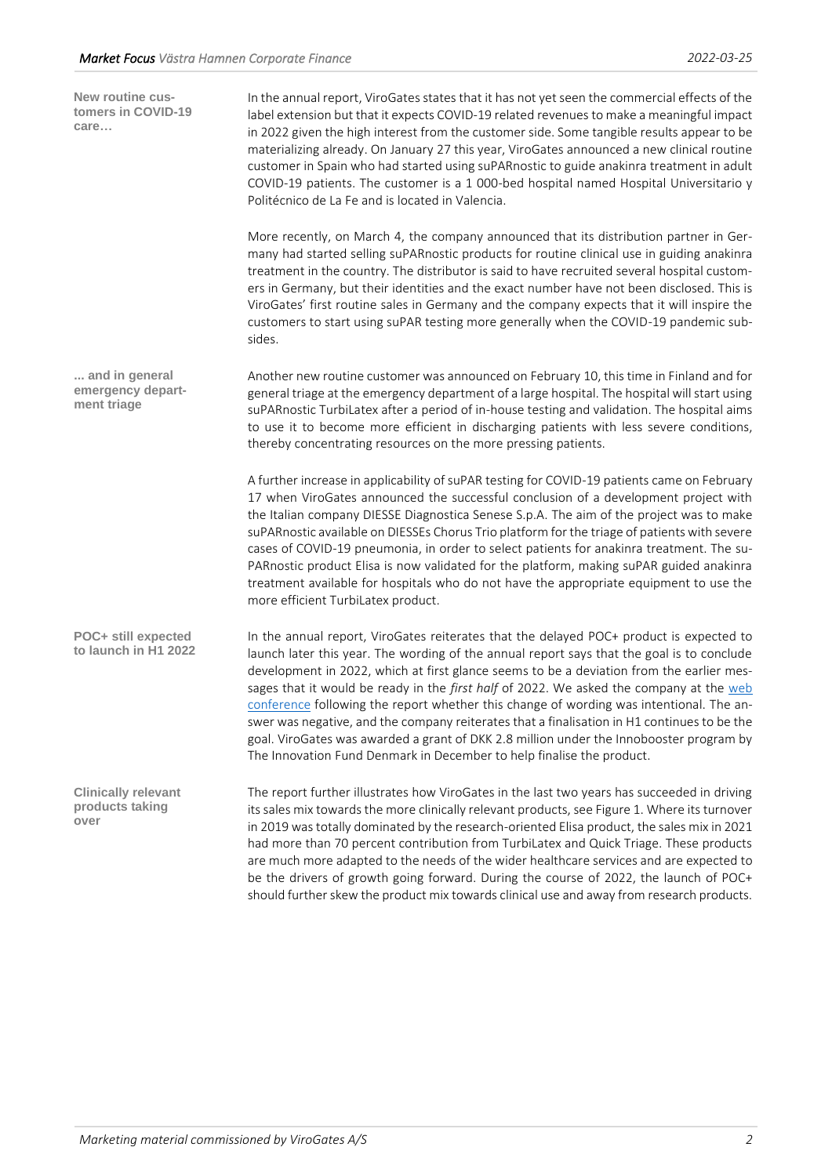| New routine cus-<br>tomers in COVID-19<br>care        | In the annual report, ViroGates states that it has not yet seen the commercial effects of the<br>label extension but that it expects COVID-19 related revenues to make a meaningful impact<br>in 2022 given the high interest from the customer side. Some tangible results appear to be<br>materializing already. On January 27 this year, ViroGates announced a new clinical routine<br>customer in Spain who had started using suPARnostic to guide anakinra treatment in adult<br>COVID-19 patients. The customer is a 1 000-bed hospital named Hospital Universitario y<br>Politécnico de La Fe and is located in Valencia.                                                                                                           |
|-------------------------------------------------------|--------------------------------------------------------------------------------------------------------------------------------------------------------------------------------------------------------------------------------------------------------------------------------------------------------------------------------------------------------------------------------------------------------------------------------------------------------------------------------------------------------------------------------------------------------------------------------------------------------------------------------------------------------------------------------------------------------------------------------------------|
|                                                       | More recently, on March 4, the company announced that its distribution partner in Ger-<br>many had started selling suPARnostic products for routine clinical use in guiding anakinra<br>treatment in the country. The distributor is said to have recruited several hospital custom-<br>ers in Germany, but their identities and the exact number have not been disclosed. This is<br>ViroGates' first routine sales in Germany and the company expects that it will inspire the<br>customers to start using suPAR testing more generally when the COVID-19 pandemic sub-<br>sides.                                                                                                                                                        |
| and in general<br>emergency depart-<br>ment triage    | Another new routine customer was announced on February 10, this time in Finland and for<br>general triage at the emergency department of a large hospital. The hospital will start using<br>suPARnostic TurbiLatex after a period of in-house testing and validation. The hospital aims<br>to use it to become more efficient in discharging patients with less severe conditions,<br>thereby concentrating resources on the more pressing patients.                                                                                                                                                                                                                                                                                       |
|                                                       | A further increase in applicability of suPAR testing for COVID-19 patients came on February<br>17 when ViroGates announced the successful conclusion of a development project with<br>the Italian company DIESSE Diagnostica Senese S.p.A. The aim of the project was to make<br>suPARnostic available on DIESSEs Chorus Trio platform for the triage of patients with severe<br>cases of COVID-19 pneumonia, in order to select patients for anakinra treatment. The su-<br>PARnostic product Elisa is now validated for the platform, making suPAR guided anakinra<br>treatment available for hospitals who do not have the appropriate equipment to use the<br>more efficient TurbiLatex product.                                       |
| POC+ still expected<br>to launch in H1 2022           | In the annual report, ViroGates reiterates that the delayed POC+ product is expected to<br>launch later this year. The wording of the annual report says that the goal is to conclude<br>development in 2022, which at first glance seems to be a deviation from the earlier mes-<br>sages that it would be ready in the first half of 2022. We asked the company at the web<br>conference following the report whether this change of wording was intentional. The an-<br>swer was negative, and the company reiterates that a finalisation in H1 continues to be the<br>goal. ViroGates was awarded a grant of DKK 2.8 million under the Innobooster program by<br>The Innovation Fund Denmark in December to help finalise the product. |
| <b>Clinically relevant</b><br>products taking<br>over | The report further illustrates how ViroGates in the last two years has succeeded in driving<br>its sales mix towards the more clinically relevant products, see Figure 1. Where its turnover<br>in 2019 was totally dominated by the research-oriented Elisa product, the sales mix in 2021<br>had more than 70 percent contribution from TurbiLatex and Quick Triage. These products<br>are much more adapted to the needs of the wider healthcare services and are expected to<br>be the drivers of growth going forward. During the course of 2022, the launch of POC+                                                                                                                                                                  |

should further skew the product mix towards clinical use and away from research products.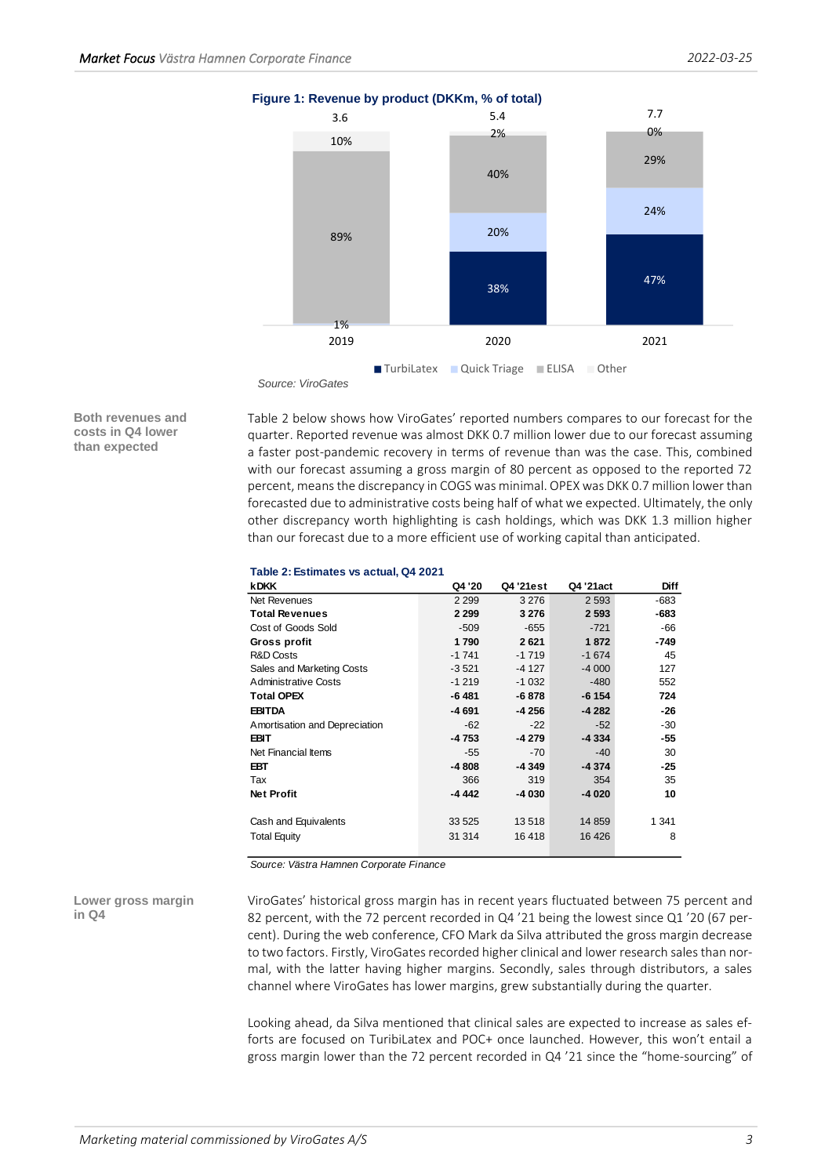

**Both revenues and costs in Q4 lower than expected**

Table 2 below shows how ViroGates' reported numbers compares to our forecast for the quarter. Reported revenue was almost DKK 0.7 million lower due to our forecast assuming a faster post-pandemic recovery in terms of revenue than was the case. This, combined with our forecast assuming a gross margin of 80 percent as opposed to the reported 72 percent, means the discrepancy in COGS was minimal. OPEX was DKK 0.7 million lower than forecasted due to administrative costs being half of what we expected. Ultimately, the only other discrepancy worth highlighting is cash holdings, which was DKK 1.3 million higher than our forecast due to a more efficient use of working capital than anticipated.

## **Table 2: Estimates vs actual, Q4 2021**

| <b>kDKK</b>                   | Q4 '20  | Q4 '21est | Q4 '21act | <b>Diff</b> |
|-------------------------------|---------|-----------|-----------|-------------|
| Net Revenues                  | 2 2 9 9 | 3 2 7 6   | 2 5 9 3   | -683        |
| <b>Total Revenues</b>         | 2 2 9 9 | 3 2 7 6   | 2 5 9 3   | $-683$      |
| Cost of Goods Sold            | $-509$  | $-655$    | $-721$    | -66         |
| Gross profit                  | 1790    | 2621      | 1872      | -749        |
| R&D Costs                     | $-1741$ | $-1719$   | $-1674$   | 45          |
| Sales and Marketing Costs     | $-3521$ | $-4127$   | $-4000$   | 127         |
| Administrative Costs          | $-1219$ | $-1032$   | $-480$    | 552         |
| Total OPEX                    | $-6481$ | -6878     | $-6154$   | 724         |
| <b>EBITDA</b>                 | -4 691  | -4 256    | $-4282$   | $-26$       |
| Amortisation and Depreciation | $-62$   | $-22$     | $-52$     | $-30$       |
| EBIT                          | $-4753$ | $-4279$   | $-4334$   | -55         |
| Net Financial Items           | $-55$   | $-70$     | $-40$     | 30          |
| EBT                           | $-4808$ | -4 349    | $-4374$   | -25         |
| Tax                           | 366     | 319       | 354       | 35          |
| Net Profit                    | $-4442$ | $-4030$   | $-4020$   | 10          |
| Cash and Equivalents          | 33 5 25 | 13518     | 14 8 59   | 1 3 4 1     |
| Total Equity                  | 31 314  | 16418     | 16 4 26   | 8           |

*Source: Västra Hamnen Corporate Finance*

**Lower gross margin in Q4**

ViroGates' historical gross margin has in recent years fluctuated between 75 percent and 82 percent, with the 72 percent recorded in Q4 '21 being the lowest since Q1 '20 (67 percent). During the web conference, CFO Mark da Silva attributed the gross margin decrease to two factors. Firstly, ViroGates recorded higher clinical and lower research sales than normal, with the latter having higher margins. Secondly, sales through distributors, a sales channel where ViroGates has lower margins, grew substantially during the quarter.

Looking ahead, da Silva mentioned that clinical sales are expected to increase as sales efforts are focused on TuribiLatex and POC+ once launched. However, this won't entail a gross margin lower than the 72 percent recorded in Q4 '21 since the "home-sourcing" of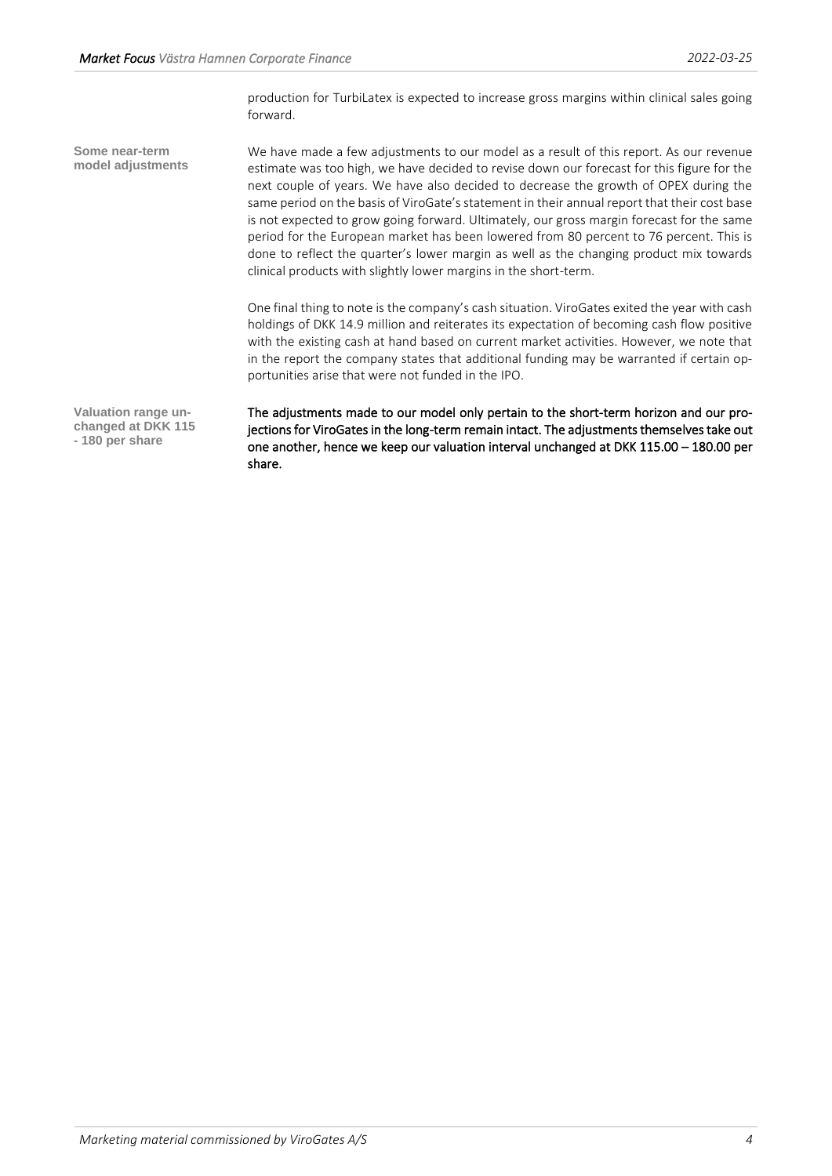production for TurbiLatex is expected to increase gross margins within clinical sales going forward.

We have made a few adjustments to our model as a result of this report. As our revenue estimate was too high, we have decided to revise down our forecast for this figure for the next couple of years. We have also decided to decrease the growth of OPEX during the same period on the basis of ViroGate's statement in their annual report that their cost base is not expected to grow going forward. Ultimately, our gross margin forecast for the same period for the European market has been lowered from 80 percent to 76 percent. This is done to reflect the quarter's lower margin as well as the changing product mix towards clinical products with slightly lower margins in the short-term. **Some near-term model adjustments**

> One final thing to note is the company's cash situation. ViroGates exited the year with cash holdings of DKK 14.9 million and reiterates its expectation of becoming cash flow positive with the existing cash at hand based on current market activities. However, we note that in the report the company states that additional funding may be warranted if certain opportunities arise that were not funded in the IPO.

**Valuation range unchanged at DKK 115 - 180 per share**

The adjustments made to our model only pertain to the short-term horizon and our projections for ViroGates in the long-term remain intact. The adjustments themselves take out one another, hence we keep our valuation interval unchanged at DKK 115.00 – 180.00 per share.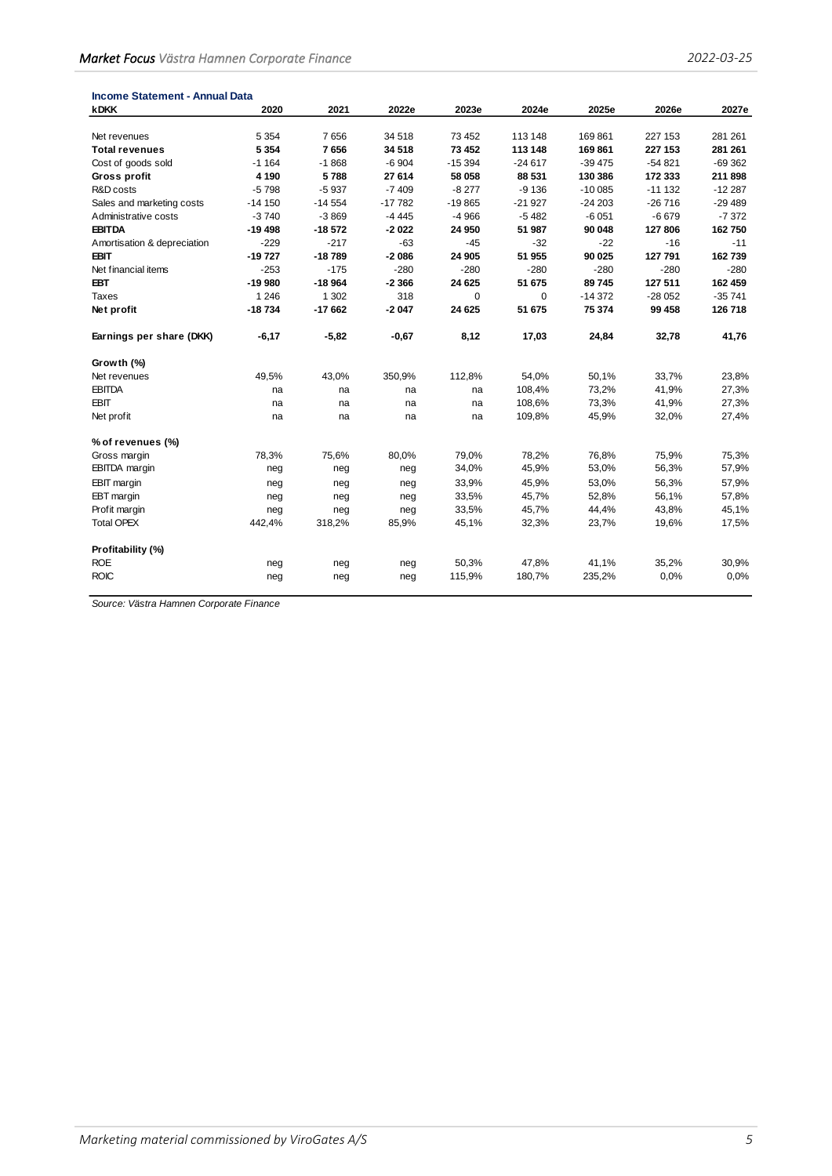| Income Statement - Annual Data |          |          |          |          |          |           |          |          |
|--------------------------------|----------|----------|----------|----------|----------|-----------|----------|----------|
| <b>kDKK</b>                    | 2020     | 2021     | 2022e    | 2023e    | 2024e    | 2025e     | 2026e    | 2027e    |
|                                |          |          |          |          |          |           |          |          |
| Net revenues                   | 5 3 5 4  | 7656     | 34 518   | 73 452   | 113 148  | 169861    | 227 153  | 281 261  |
| <b>Total revenues</b>          | 5 3 5 4  | 7656     | 34 518   | 73 452   | 113 148  | 169 861   | 227 153  | 281 261  |
| Cost of goods sold             | $-1164$  | $-1868$  | $-6904$  | $-15394$ | $-24617$ | $-39475$  | $-54821$ | $-69362$ |
| Gross profit                   | 4 1 9 0  | 5788     | 27 614   | 58 058   | 88 531   | 130 386   | 172 333  | 211 898  |
| R&D costs                      | $-5798$  | $-5937$  | $-7409$  | $-8277$  | $-9136$  | $-100085$ | $-11132$ | $-12287$ |
| Sales and marketing costs      | $-14150$ | $-14554$ | $-17782$ | $-19865$ | $-21927$ | $-24203$  | $-26716$ | $-29489$ |
| Administrative costs           | $-3740$  | $-3869$  | $-4445$  | $-4966$  | $-5482$  | $-6051$   | $-6679$  | $-7372$  |
| <b>EBITDA</b>                  | $-19498$ | $-18572$ | $-2022$  | 24 950   | 51 987   | 90 048    | 127806   | 162750   |
| Amortisation & depreciation    | $-229$   | $-217$   | $-63$    | $-45$    | $-32$    | $-22$     | $-16$    | $-11$    |
| <b>EBIT</b>                    | $-19727$ | $-18789$ | $-2086$  | 24 905   | 51 955   | 90 025    | 127 791  | 162 739  |
| Net financial items            | $-253$   | $-175$   | $-280$   | $-280$   | $-280$   | $-280$    | $-280$   | $-280$   |
| <b>EBT</b>                     | $-19980$ | $-18964$ | $-2366$  | 24 6 25  | 51 675   | 89 745    | 127 511  | 162 459  |
| Taxes                          | 1 2 4 6  | 1 3 0 2  | 318      | $\Omega$ | $\Omega$ | $-14372$  | $-28052$ | $-35741$ |
| Net profit                     | $-18734$ | $-17662$ | $-2047$  | 24 6 25  | 51 675   | 75 374    | 99 458   | 126 718  |
| Earnings per share (DKK)       | $-6,17$  | $-5,82$  | $-0,67$  | 8,12     | 17,03    | 24,84     | 32,78    | 41,76    |
| Growth (%)                     |          |          |          |          |          |           |          |          |
| Net revenues                   | 49,5%    | 43,0%    | 350,9%   | 112,8%   | 54,0%    | 50,1%     | 33,7%    | 23,8%    |
| <b>EBITDA</b>                  | na       | na       | na       | na       | 108,4%   | 73,2%     | 41,9%    | 27,3%    |
| <b>EBIT</b>                    | na       | na       | na       | na       | 108,6%   | 73,3%     | 41,9%    | 27,3%    |
| Net profit                     | na       | na       | na       | na       | 109,8%   | 45,9%     | 32,0%    | 27,4%    |
| % of revenues (%)              |          |          |          |          |          |           |          |          |
| Gross margin                   | 78,3%    | 75,6%    | 80,0%    | 79,0%    | 78,2%    | 76,8%     | 75,9%    | 75,3%    |
| EBITDA margin                  | neg      | neg      | neg      | 34,0%    | 45,9%    | 53,0%     | 56,3%    | 57,9%    |
| <b>EBIT</b> margin             | neg      | neg      | neg      | 33,9%    | 45,9%    | 53,0%     | 56,3%    | 57,9%    |
| EBT margin                     | neg      | neg      | neg      | 33,5%    | 45,7%    | 52,8%     | 56,1%    | 57,8%    |
| Profit margin                  | neg      | neg      | neg      | 33,5%    | 45,7%    | 44,4%     | 43,8%    | 45,1%    |
| <b>Total OPEX</b>              | 442,4%   | 318,2%   | 85,9%    | 45,1%    | 32,3%    | 23,7%     | 19,6%    | 17,5%    |
| Profitability (%)              |          |          |          |          |          |           |          |          |
| <b>ROE</b>                     | neg      | neg      | neg      | 50,3%    | 47,8%    | 41,1%     | 35,2%    | 30,9%    |
| <b>ROIC</b>                    | neg      | neg      | neg      | 115,9%   | 180,7%   | 235,2%    | 0.0%     | 0.0%     |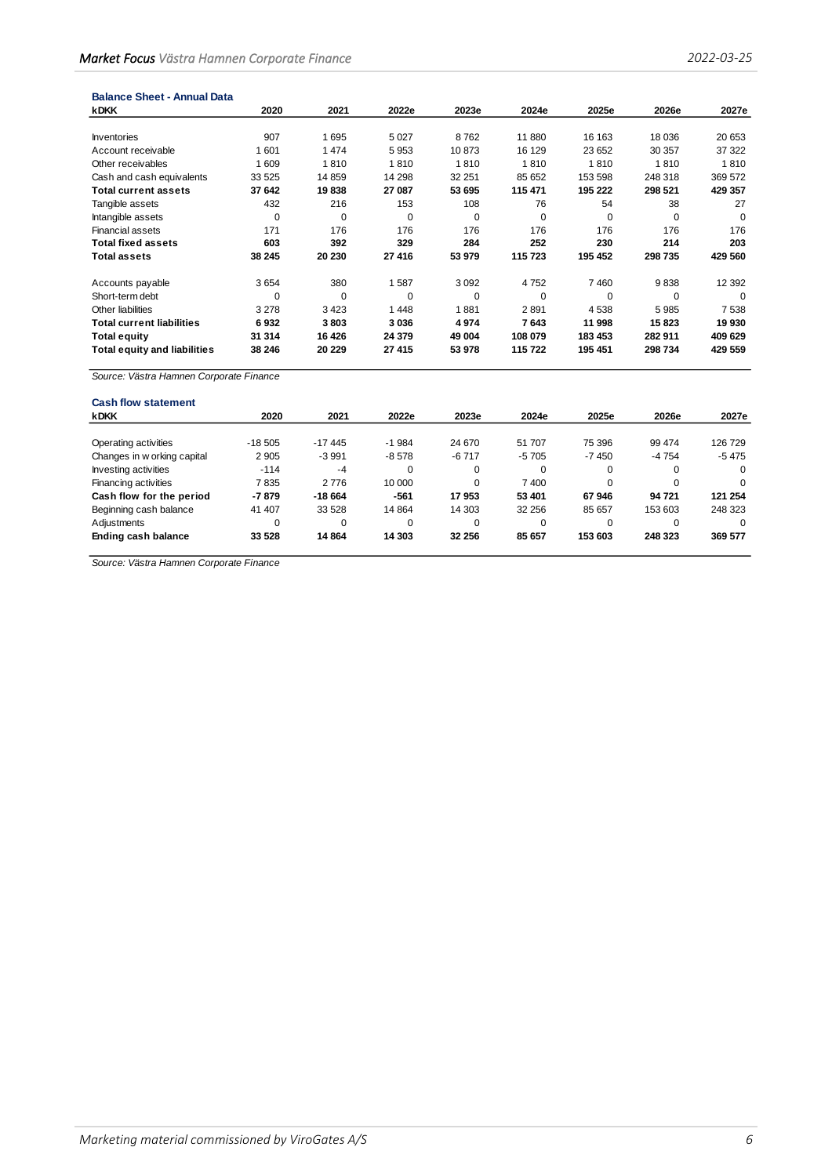| <b>Balance Sheet - Annual Data</b>  |             |          |        |          |          |          |         |          |
|-------------------------------------|-------------|----------|--------|----------|----------|----------|---------|----------|
| <b>kDKK</b>                         | 2020        | 2021     | 2022e  | 2023e    | 2024e    | 2025e    | 2026e   | 2027e    |
|                                     |             |          |        |          |          |          |         |          |
| Inventories                         | 907         | 1695     | 5 0 27 | 8762     | 11 880   | 16 163   | 18 0 36 | 20 653   |
| Account receivable                  | 1601        | 1474     | 5953   | 10873    | 16 129   | 23 652   | 30 357  | 37 322   |
| Other receivables                   | 1609        | 1810     | 1810   | 1810     | 1810     | 1810     | 1810    | 1810     |
| Cash and cash equivalents           | 33 5 25     | 14859    | 14 298 | 32 251   | 85 652   | 153 598  | 248 318 | 369 572  |
| <b>Total current assets</b>         | 37 642      | 19838    | 27 087 | 53 695   | 115 471  | 195 222  | 298 521 | 429 357  |
| Tangible assets                     | 432         | 216      | 153    | 108      | 76       | 54       | 38      | 27       |
| Intangible assets                   | $\mathbf 0$ | 0        | 0      | 0        | 0        | 0        | 0       | 0        |
| <b>Financial assets</b>             | 171         | 176      | 176    | 176      | 176      | 176      | 176     | 176      |
| <b>Total fixed assets</b>           | 603         | 392      | 329    | 284      | 252      | 230      | 214     | 203      |
| <b>Total assets</b>                 | 38 245      | 20 230   | 27 416 | 53 979   | 115 723  | 195 452  | 298 735 | 429 560  |
| Accounts payable                    | 3654        | 380      | 1587   | 3 0 9 2  | 4752     | 7460     | 9838    | 12 3 9 2 |
| Short-term debt                     | $\Omega$    | $\Omega$ | 0      | $\Omega$ | $\Omega$ | $\Omega$ | 0       | $\Omega$ |
| Other liabilities                   | 3 2 7 8     | 3423     | 1448   | 1881     | 2891     | 4538     | 5985    | 7538     |
| <b>Total current liabilities</b>    | 6932        | 3803     | 3036   | 4974     | 7643     | 11 998   | 15823   | 19 930   |
| <b>Total equity</b>                 | 31 314      | 16 4 26  | 24 379 | 49 004   | 108 079  | 183 453  | 282 911 | 409 629  |
| <b>Total equity and liabilities</b> | 38 246      | 20 229   | 27 415 | 53 978   | 115722   | 195 451  | 298 734 | 429 559  |

| <b>Cash flow statement</b>  |          |          |         |          |          |          |          |          |
|-----------------------------|----------|----------|---------|----------|----------|----------|----------|----------|
| <b>kDKK</b>                 | 2020     | 2021     | 2022e   | 2023e    | 2024e    | 2025e    | 2026e    | 2027e    |
| Operating activities        | $-18505$ | $-17445$ | $-1984$ | 24 670   | 51 707   | 75 396   | 99 474   | 126729   |
| Changes in w orking capital | 2 9 0 5  | $-3991$  | $-8578$ | $-6717$  | $-5705$  | $-7450$  | $-4754$  | $-5475$  |
| <b>Investing activities</b> | $-114$   | $-4$     | 0       | $\Omega$ | 0        | 0        | 0        | $\Omega$ |
| Financing activities        | 7835     | 2776     | 10 000  | $\Omega$ | 7400     | $\Omega$ | $\Omega$ | $\Omega$ |
| Cash flow for the period    | -7879    | $-18664$ | $-561$  | 17953    | 53 401   | 67946    | 94 721   | 121 254  |
| Beginning cash balance      | 41 407   | 33 5 28  | 14 8 64 | 14 303   | 32 256   | 85 657   | 153 603  | 248 323  |
| Adjustments                 | 0        | $\Omega$ | 0       | $\Omega$ | $\Omega$ | $\Omega$ | 0        | $\Omega$ |
| Ending cash balance         | 33 5 28  | 14864    | 14 303  | 32 256   | 85 657   | 153 603  | 248 323  | 369 577  |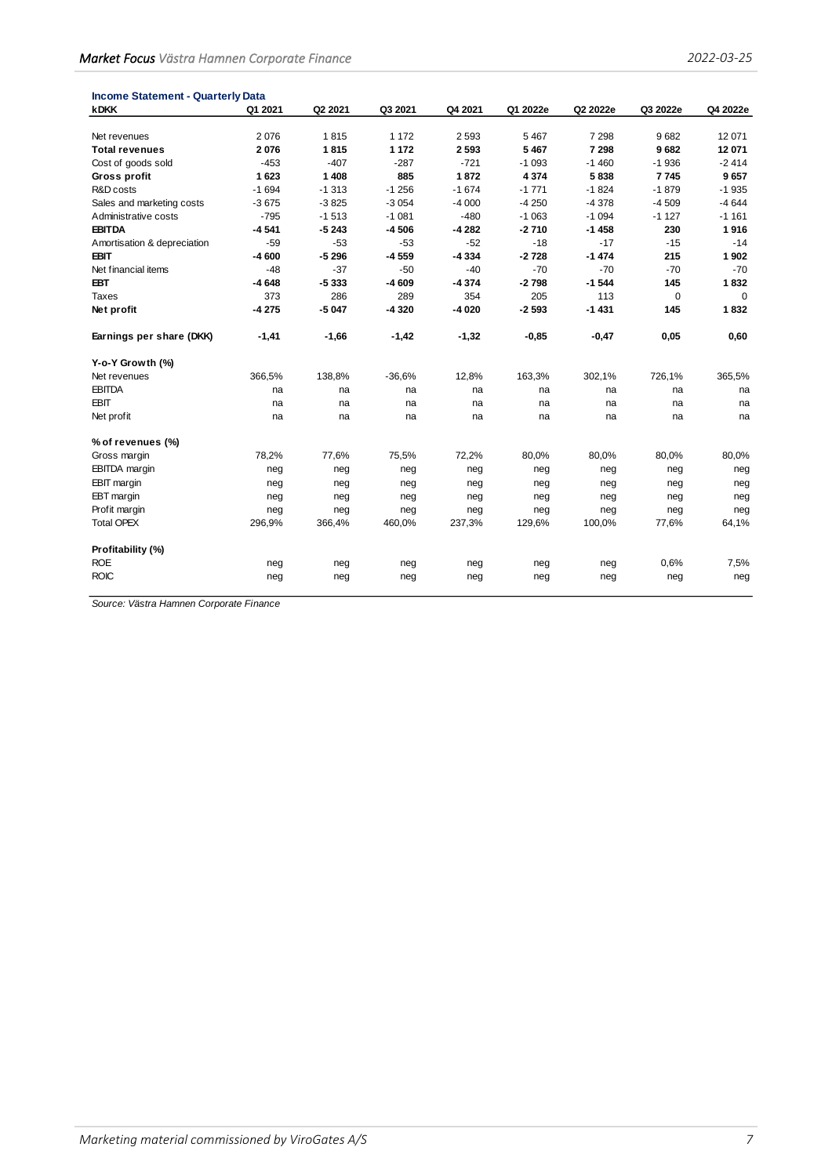| <b>Income Statement - Quarterly Data</b> |         |         |               |         |                    |                 |                 |                 |
|------------------------------------------|---------|---------|---------------|---------|--------------------|-----------------|-----------------|-----------------|
| <b>kDKK</b>                              | Q1 2021 | Q2 2021 | Q3 2021       | Q4 2021 | Q1 2022e           | Q2 2022e        | Q3 2022e        | Q4 2022e        |
|                                          | 2076    | 1815    | 1 1 7 2       | 2 5 9 3 | 5467               | 7 2 9 8         | 9682            | 12 071          |
| Net revenues<br><b>Total revenues</b>    | 2076    | 1815    | 1 1 7 2       | 2593    | 5 4 6 7            | 7 2 9 8         | 9682            | 12 071          |
|                                          |         | $-407$  |               | $-721$  |                    |                 |                 |                 |
| Cost of goods sold                       | $-453$  | 1 4 0 8 | $-287$<br>885 | 1872    | $-1093$<br>4 3 7 4 | $-1460$<br>5838 | $-1936$<br>7745 | $-2414$<br>9657 |
| Gross profit                             | 1623    |         |               |         |                    |                 |                 |                 |
| R&D costs                                | $-1694$ | $-1313$ | $-1256$       | $-1674$ | $-1771$            | $-1824$         | $-1879$         | $-1935$         |
| Sales and marketing costs                | $-3675$ | $-3825$ | $-3054$       | $-4000$ | $-4250$            | $-4378$         | $-4509$         | $-4644$         |
| Administrative costs                     | $-795$  | $-1513$ | $-1081$       | $-480$  | $-1063$            | $-1094$         | $-1127$         | $-1161$         |
| <b>EBITDA</b>                            | $-4541$ | -5 243  | $-4506$       | $-4282$ | $-2710$            | $-1458$         | 230             | 1916            |
| Amortisation & depreciation              | -59     | $-53$   | $-53$         | $-52$   | $-18$              | $-17$           | $-15$           | $-14$           |
| EBIT                                     | -4 600  | $-5296$ | $-4559$       | -4334   | $-2728$            | $-1474$         | 215             | 1 902           |
| Net financial items                      | $-48$   | $-37$   | $-50$         | $-40$   | $-70$              | $-70$           | $-70$           | $-70$           |
| <b>EBT</b>                               | $-4648$ | $-5333$ | $-4609$       | $-4374$ | $-2798$            | $-1544$         | 145             | 1832            |
| Taxes                                    | 373     | 286     | 289           | 354     | 205                | 113             | $\mathbf 0$     | $\Omega$        |
| Net profit                               | $-4275$ | $-5047$ | $-4320$       | $-4020$ | $-2593$            | $-1431$         | 145             | 1832            |
| Earnings per share (DKK)                 | $-1,41$ | $-1,66$ | $-1,42$       | $-1,32$ | $-0,85$            | $-0,47$         | 0,05            | 0,60            |
| Y-o-Y Growth (%)                         |         |         |               |         |                    |                 |                 |                 |
| Net revenues                             | 366,5%  | 138,8%  | $-36,6%$      | 12,8%   | 163,3%             | 302,1%          | 726,1%          | 365,5%          |
| <b>EBITDA</b>                            | na      | na      | na            | na      | na                 | na              | na              | na              |
| <b>EBIT</b>                              | na      | na      | na            | na      | na                 | na              | na              | na              |
| Net profit                               | na      | na      | na            | na      | na                 | na              | na              | na              |
| % of revenues (%)                        |         |         |               |         |                    |                 |                 |                 |
| Gross margin                             | 78,2%   | 77,6%   | 75,5%         | 72,2%   | 80,0%              | 80,0%           | 80,0%           | 80,0%           |
| <b>EBITDA</b> margin                     | neg     | neg     | neg           | neg     | neg                | neg             | neg             | neg             |
| <b>EBIT</b> margin                       | neg     | neg     | neg           | neg     | neg                | neg             | neg             | neg             |
| EBT margin                               | neg     | neg     | neg           | neg     | neg                | neg             | neg             | neg             |
| Profit margin                            | neg     | neg     | neg           | neg     | neg                | neg             | neg             | neg             |
| <b>Total OPEX</b>                        | 296,9%  | 366,4%  | 460,0%        | 237,3%  | 129,6%             | 100,0%          | 77,6%           | 64,1%           |
| Profitability (%)                        |         |         |               |         |                    |                 |                 |                 |
| <b>ROE</b>                               |         | neg     |               | neg     |                    | neg             | 0,6%            | 7,5%            |
| <b>ROIC</b>                              | neg     |         | neg           |         | neg                |                 |                 |                 |
|                                          | neg     | neg     | neg           | neg     | neg                | neg             | neg             | neg             |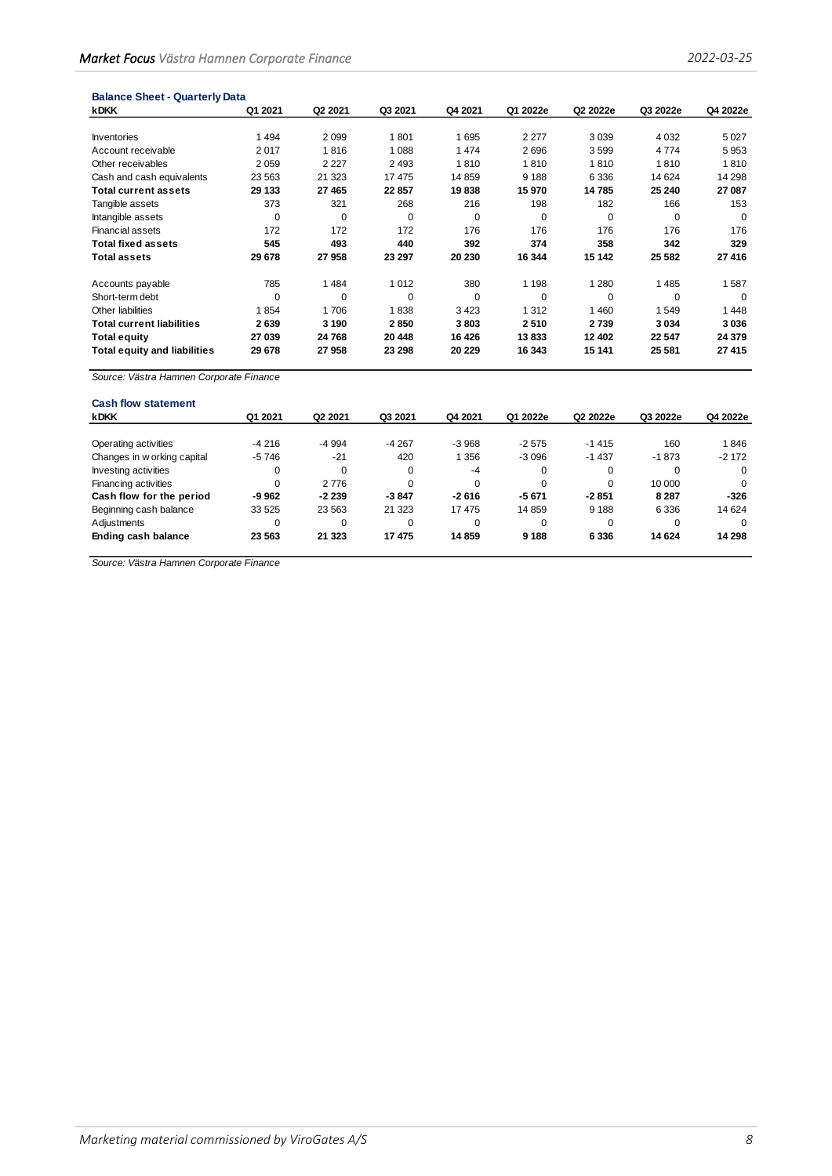| <b>Balance Sheet - Quarterly Data</b> |          |                     |         |          |          |          |          |          |
|---------------------------------------|----------|---------------------|---------|----------|----------|----------|----------|----------|
| <b>kDKK</b>                           | Q1 2021  | Q <sub>2</sub> 2021 | Q3 2021 | Q4 2021  | Q1 2022e | Q2 2022e | Q3 2022e | Q4 2022e |
|                                       |          |                     |         |          |          |          |          |          |
| Inventories                           | 1494     | 2099                | 1801    | 1695     | 2 2 7 7  | 3 0 3 9  | 4 0 3 2  | 5027     |
| Account receivable                    | 2017     | 1816                | 1 0 8 8 | 1474     | 2696     | 3599     | 4774     | 5953     |
| Other receivables                     | 2059     | 2 2 2 7             | 2 4 9 3 | 1810     | 1810     | 1810     | 1810     | 1810     |
| Cash and cash equivalents             | 23 5 63  | 21 3 23             | 17475   | 14859    | 9 1 8 8  | 6 3 3 6  | 14 624   | 14 298   |
| <b>Total current assets</b>           | 29 133   | 27 4 65             | 22 857  | 19838    | 15970    | 14785    | 25 240   | 27 087   |
| Tangible assets                       | 373      | 321                 | 268     | 216      | 198      | 182      | 166      | 153      |
| Intangible assets                     | 0        | 0                   | 0       | 0        | 0        | 0        | 0        | 0        |
| <b>Financial assets</b>               | 172      | 172                 | 172     | 176      | 176      | 176      | 176      | 176      |
| <b>Total fixed assets</b>             | 545      | 493                 | 440     | 392      | 374      | 358      | 342      | 329      |
| <b>Total assets</b>                   | 29 678   | 27958               | 23 297  | 20 230   | 16 344   | 15 142   | 25 582   | 27 416   |
| Accounts payable                      | 785      | 1484                | 1 0 1 2 | 380      | 1 1 9 8  | 1 2 8 0  | 1485     | 1587     |
| Short-term debt                       | $\Omega$ | $\Omega$            | 0       | $\Omega$ | $\Omega$ | $\Omega$ | $\Omega$ | $\Omega$ |
| Other liabilities                     | 1854     | 1706                | 1838    | 3423     | 1312     | 1 4 6 0  | 1549     | 1448     |
| <b>Total current liabilities</b>      | 2639     | 3 1 9 0             | 2850    | 3803     | 2510     | 2739     | 3034     | 3036     |
| <b>Total equity</b>                   | 27 039   | 24 768              | 20 448  | 16 4 26  | 13833    | 12 402   | 22 547   | 24 379   |
| <b>Total equity and liabilities</b>   | 29678    | 27958               | 23 298  | 20 229   | 16 343   | 15 141   | 25 581   | 27 4 15  |

| <b>Cash flow statement</b>  |         |                     |          |          |          |          |          |          |
|-----------------------------|---------|---------------------|----------|----------|----------|----------|----------|----------|
| <b>kDKK</b>                 | Q1 2021 | Q <sub>2</sub> 2021 | Q3 2021  | Q4 2021  | Q1 2022e | Q2 2022e | Q3 2022e | Q4 2022e |
|                             |         |                     |          |          |          |          |          |          |
| Operating activities        | $-4216$ | $-4994$             | $-4267$  | $-3.968$ | $-2.575$ | $-1415$  | 160      | 1846     |
| Changes in w orking capital | -5746   | $-21$               | 420      | 1 356    | $-3096$  | $-1437$  | $-1873$  | $-2172$  |
| Investing activities        | 0       | 0                   | 0        | $-4$     | $\Omega$ | 0        | 0        | $\Omega$ |
| Financing activities        |         | 2776                | $\Omega$ | $\Omega$ | $\Omega$ | $\Omega$ | 10 000   | $\Omega$ |
| Cash flow for the period    | -9 962  | $-2239$             | $-3847$  | $-2616$  | $-5671$  | $-2851$  | 8 2 8 7  | $-326$   |
| Beginning cash balance      | 33 5 25 | 23 5 63             | 21 3 23  | 17475    | 14 859   | 9 1 8 8  | 6 3 3 6  | 14 6 24  |
| Adjustments                 |         | 0                   | $\Omega$ | $\Omega$ | $\Omega$ | $\Omega$ | $\Omega$ | $\Omega$ |
| Ending cash balance         | 23 5 63 | 21 3 23             | 17475    | 14859    | 9 1 8 8  | 6 3 3 6  | 14 624   | 14 298   |